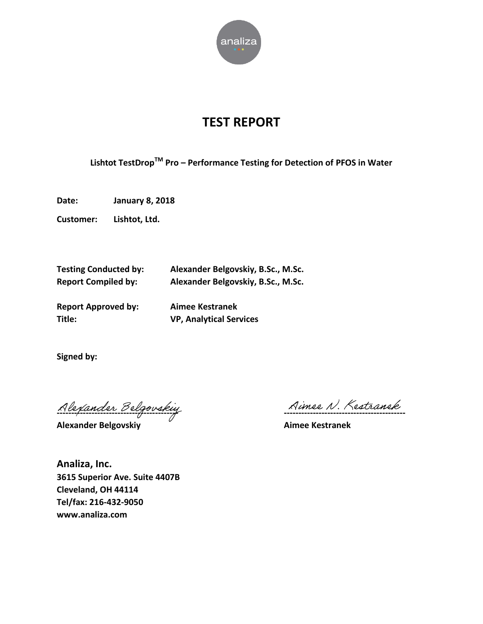

# **TEST REPORT**

**Lishtot TestDropTM Pro – Performance Testing for Detection of PFOS in Water** 

**Date: January 8, 2018** 

**Customer: Lishtot, Ltd.** 

**Testing Conducted by: Alexander Belgovskiy, B.Sc., M.Sc. Report Compiled by: Alexander Belgovskiy, B.Sc., M.Sc.** 

**Report Approved by: Aimee Kestranek** 

**Title: VP, Analytical Services** 

**Signed by:** 

**------------------------------------------ ------------------------------------------** 

**Alexander Belgovskiy Aimee Kestranek** 

**Analiza, Inc. 3615 Superior Ave. Suite 4407B Cleveland, OH 44114 Tel/fax: 216-432-9050 www.analiza.com**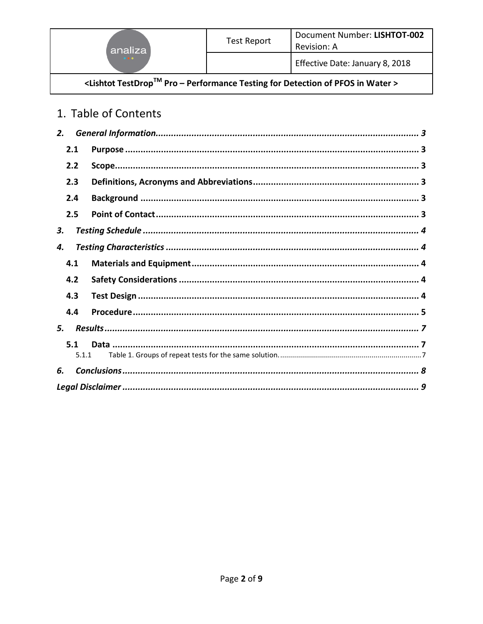| analiza                                                                                                                 | Test Report | Document Number: LISHTOT-002<br>Revision: A |  |
|-------------------------------------------------------------------------------------------------------------------------|-------------|---------------------------------------------|--|
| $-0.001$                                                                                                                |             | Effective Date: January 8, 2018             |  |
| <lishtot -="" detection="" for="" in="" of="" performance="" pfos="" pro="" testdrop™="" testing="" water=""></lishtot> |             |                                             |  |

# 1. Table of Contents

| 2.           |  |
|--------------|--|
| 2.1          |  |
| 2.2          |  |
| 2.3          |  |
| 2.4          |  |
| 2.5          |  |
| 3.           |  |
| 4.           |  |
| 4.1          |  |
| 4.2          |  |
| 4.3          |  |
| 4.4          |  |
| 5.           |  |
| 5.1<br>5.1.1 |  |
| 6.           |  |
|              |  |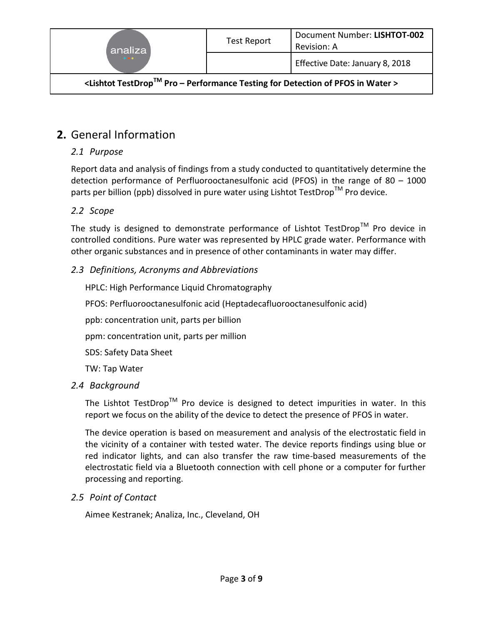

## <span id="page-2-0"></span>**2.** General Information

#### <span id="page-2-1"></span>*2.1 Purpose*

Report data and analysis of findings from a study conducted to quantitatively determine the detection performance of Perfluorooctanesulfonic acid (PFOS) in the range of 80 – 1000 parts per billion (ppb) dissolved in pure water using Lishtot TestDrop<sup>TM</sup> Pro device.

#### <span id="page-2-2"></span>*2.2 Scope*

The study is designed to demonstrate performance of Lishtot TestDrop<sup>TM</sup> Pro device in controlled conditions. Pure water was represented by HPLC grade water. Performance with other organic substances and in presence of other contaminants in water may differ.

#### <span id="page-2-3"></span>*2.3 Definitions, Acronyms and Abbreviations*

HPLC: High Performance Liquid Chromatography

PFOS: Perfluorooctanesulfonic acid (Heptadecafluorooctanesulfonic acid)

ppb: concentration unit, parts per billion

ppm: concentration unit, parts per million

SDS: Safety Data Sheet

<span id="page-2-4"></span>TW: Tap Water

#### *2.4 Background*

The Lishtot TestDrop<sup>TM</sup> Pro device is designed to detect impurities in water. In this report we focus on the ability of the device to detect the presence of PFOS in water.

The device operation is based on measurement and analysis of the electrostatic field in the vicinity of a container with tested water. The device reports findings using blue or red indicator lights, and can also transfer the raw time-based measurements of the electrostatic field via a Bluetooth connection with cell phone or a computer for further processing and reporting.

#### <span id="page-2-5"></span>*2.5 Point of Contact*

Aimee Kestranek; Analiza, Inc., Cleveland, OH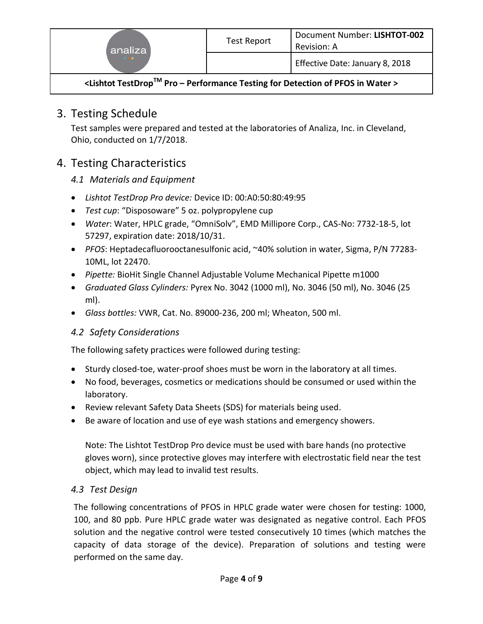

## <span id="page-3-0"></span>3. Testing Schedule

Test samples were prepared and tested at the laboratories of Analiza, Inc. in Cleveland, Ohio, conducted on 1/7/2018.

# <span id="page-3-1"></span>4. Testing Characteristics

### <span id="page-3-2"></span>*4.1 Materials and Equipment*

- *Lishtot TestDrop Pro device:* Device ID: 00:A0:50:80:49:95
- *Test cup*: "Disposoware" 5 oz. polypropylene cup
- *Water*: Water, HPLC grade, "OmniSolv", EMD Millipore Corp., CAS-No: 7732-18-5, lot 57297, expiration date: 2018/10/31.
- *PFOS*: Heptadecafluorooctanesulfonic acid, ~40% solution in water, Sigma, P/N 77283- 10ML, lot 22470.
- *Pipette:* BioHit Single Channel Adjustable Volume Mechanical Pipette m1000
- *Graduated Glass Cylinders:* Pyrex No. 3042 (1000 ml), No. 3046 (50 ml), No. 3046 (25 ml).
- *Glass bottles:* VWR, Cat. No. 89000-236, 200 ml; Wheaton, 500 ml.

## <span id="page-3-3"></span>*4.2 Safety Considerations*

The following safety practices were followed during testing:

- Sturdy closed-toe, water-proof shoes must be worn in the laboratory at all times.
- No food, beverages, cosmetics or medications should be consumed or used within the laboratory.
- Review relevant Safety Data Sheets (SDS) for materials being used.
- Be aware of location and use of eye wash stations and emergency showers.

Note: The Lishtot TestDrop Pro device must be used with bare hands (no protective gloves worn), since protective gloves may interfere with electrostatic field near the test object, which may lead to invalid test results.

## <span id="page-3-4"></span>*4.3 Test Design*

The following concentrations of PFOS in HPLC grade water were chosen for testing: 1000, 100, and 80 ppb. Pure HPLC grade water was designated as negative control. Each PFOS solution and the negative control were tested consecutively 10 times (which matches the capacity of data storage of the device). Preparation of solutions and testing were performed on the same day.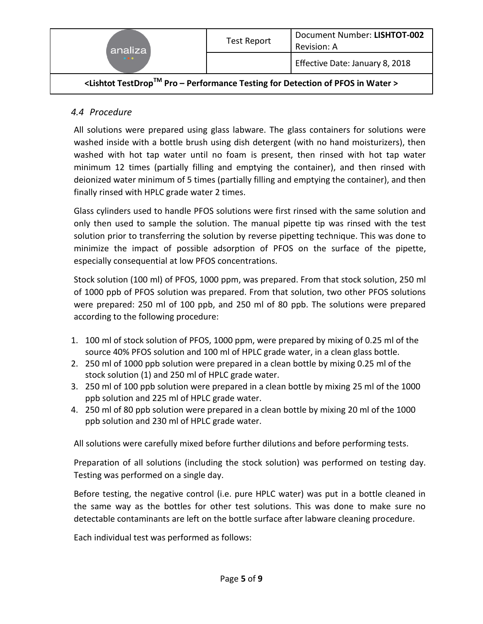

#### <span id="page-4-0"></span>*4.4 Procedure*

All solutions were prepared using glass labware. The glass containers for solutions were washed inside with a bottle brush using dish detergent (with no hand moisturizers), then washed with hot tap water until no foam is present, then rinsed with hot tap water minimum 12 times (partially filling and emptying the container), and then rinsed with deionized water minimum of 5 times (partially filling and emptying the container), and then finally rinsed with HPLC grade water 2 times.

Glass cylinders used to handle PFOS solutions were first rinsed with the same solution and only then used to sample the solution. The manual pipette tip was rinsed with the test solution prior to transferring the solution by reverse pipetting technique. This was done to minimize the impact of possible adsorption of PFOS on the surface of the pipette, especially consequential at low PFOS concentrations.

Stock solution (100 ml) of PFOS, 1000 ppm, was prepared. From that stock solution, 250 ml of 1000 ppb of PFOS solution was prepared. From that solution, two other PFOS solutions were prepared: 250 ml of 100 ppb, and 250 ml of 80 ppb. The solutions were prepared according to the following procedure:

- 1. 100 ml of stock solution of PFOS, 1000 ppm, were prepared by mixing of 0.25 ml of the source 40% PFOS solution and 100 ml of HPLC grade water, in a clean glass bottle.
- 2. 250 ml of 1000 ppb solution were prepared in a clean bottle by mixing 0.25 ml of the stock solution (1) and 250 ml of HPLC grade water.
- 3. 250 ml of 100 ppb solution were prepared in a clean bottle by mixing 25 ml of the 1000 ppb solution and 225 ml of HPLC grade water.
- 4. 250 ml of 80 ppb solution were prepared in a clean bottle by mixing 20 ml of the 1000 ppb solution and 230 ml of HPLC grade water.

All solutions were carefully mixed before further dilutions and before performing tests.

Preparation of all solutions (including the stock solution) was performed on testing day. Testing was performed on a single day.

Before testing, the negative control (i.e. pure HPLC water) was put in a bottle cleaned in the same way as the bottles for other test solutions. This was done to make sure no detectable contaminants are left on the bottle surface after labware cleaning procedure.

Each individual test was performed as follows: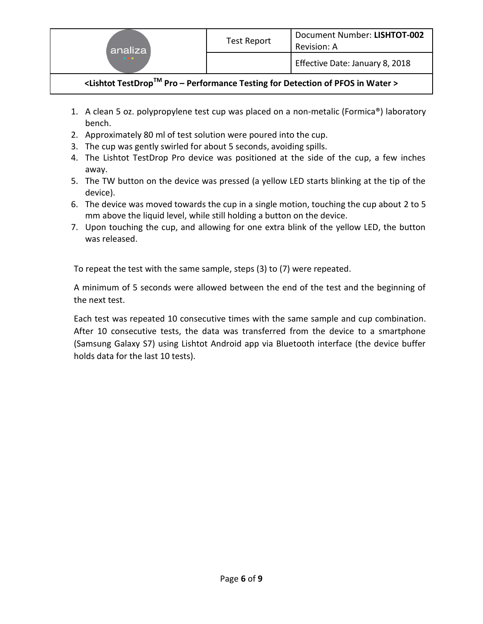| analiza<br>$\begin{array}{c} \bullet & \bullet & \bullet \end{array}$                                                   | <b>Test Report</b> | Document Number: LISHTOT-002<br>Revision: A |  |
|-------------------------------------------------------------------------------------------------------------------------|--------------------|---------------------------------------------|--|
|                                                                                                                         |                    | Effective Date: January 8, 2018             |  |
| <lishtot detection="" for="" in="" of="" performance="" pfos="" pro="" testdrop™="" testing="" water="" –=""></lishtot> |                    |                                             |  |

- 1. A clean 5 oz. polypropylene test cup was placed on a non-metalic (Formica®) laboratory bench.
- 2. Approximately 80 ml of test solution were poured into the cup.
- 3. The cup was gently swirled for about 5 seconds, avoiding spills.
- 4. The Lishtot TestDrop Pro device was positioned at the side of the cup, a few inches away.
- 5. The TW button on the device was pressed (a yellow LED starts blinking at the tip of the device).
- 6. The device was moved towards the cup in a single motion, touching the cup about 2 to 5 mm above the liquid level, while still holding a button on the device.
- 7. Upon touching the cup, and allowing for one extra blink of the yellow LED, the button was released.

To repeat the test with the same sample, steps (3) to (7) were repeated.

A minimum of 5 seconds were allowed between the end of the test and the beginning of the next test.

Each test was repeated 10 consecutive times with the same sample and cup combination. After 10 consecutive tests, the data was transferred from the device to a smartphone (Samsung Galaxy S7) using Lishtot Android app via Bluetooth interface (the device buffer holds data for the last 10 tests).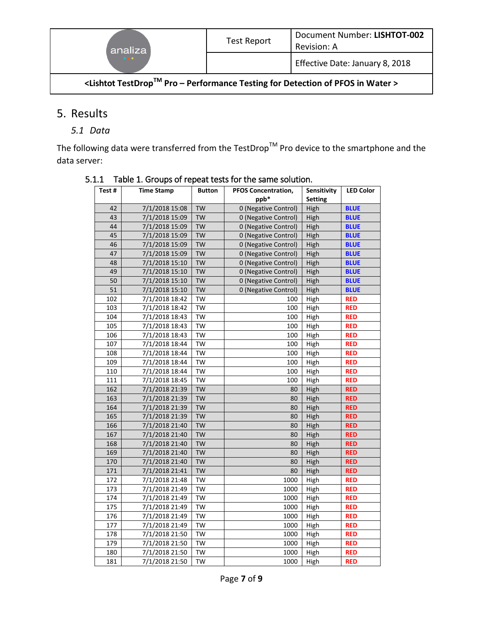| analiza<br>$-0.001$                                                                                                     | Test Report | Document Number: LISHTOT-002<br>Revision: A |  |  |
|-------------------------------------------------------------------------------------------------------------------------|-------------|---------------------------------------------|--|--|
|                                                                                                                         |             | Effective Date: January 8, 2018             |  |  |
| <lishtot -="" detection="" for="" in="" of="" performance="" pfos="" pro="" testdrop™="" testing="" water=""></lishtot> |             |                                             |  |  |

## <span id="page-6-0"></span>5. Results

#### <span id="page-6-1"></span>*5.1 Data*

The following data were transferred from the TestDrop<sup>TM</sup> Pro device to the smartphone and the data server:

| Test# | <b>Time Stamp</b> | <b>Button</b> | PFOS Concentration,  | Sensitivity    | <b>LED Color</b> |
|-------|-------------------|---------------|----------------------|----------------|------------------|
|       |                   |               | ppb*                 | <b>Setting</b> |                  |
| 42    | 7/1/2018 15:08    | <b>TW</b>     | 0 (Negative Control) | High           | <b>BLUE</b>      |
| 43    | 7/1/2018 15:09    | TW            | 0 (Negative Control) | High           | <b>BLUE</b>      |
| 44    | 7/1/2018 15:09    | <b>TW</b>     | 0 (Negative Control) | High           | <b>BLUE</b>      |
| 45    | 7/1/2018 15:09    | <b>TW</b>     | 0 (Negative Control) | High           | <b>BLUE</b>      |
| 46    | 7/1/2018 15:09    | <b>TW</b>     | 0 (Negative Control) | High           | <b>BLUE</b>      |
| 47    | 7/1/2018 15:09    | <b>TW</b>     | 0 (Negative Control) | High           | <b>BLUE</b>      |
| 48    | 7/1/2018 15:10    | <b>TW</b>     | 0 (Negative Control) | High           | <b>BLUE</b>      |
| 49    | 7/1/2018 15:10    | TW            | 0 (Negative Control) | High           | <b>BLUE</b>      |
| 50    | 7/1/2018 15:10    | TW            | 0 (Negative Control) | High           | <b>BLUE</b>      |
| 51    | 7/1/2018 15:10    | <b>TW</b>     | 0 (Negative Control) | High           | <b>BLUE</b>      |
| 102   | 7/1/2018 18:42    | TW            | 100                  | High           | <b>RED</b>       |
| 103   | 7/1/2018 18:42    | TW            | 100                  | High           | <b>RED</b>       |
| 104   | 7/1/2018 18:43    | TW            | 100                  | High           | <b>RED</b>       |
| 105   | 7/1/2018 18:43    | TW            | 100                  | High           | <b>RED</b>       |
| 106   | 7/1/2018 18:43    | TW            | 100                  | High           | <b>RED</b>       |
| 107   | 7/1/2018 18:44    | TW            | 100                  | High           | <b>RED</b>       |
| 108   | 7/1/2018 18:44    | TW            | 100                  | High           | <b>RED</b>       |
| 109   | 7/1/2018 18:44    | TW            | 100                  | High           | <b>RED</b>       |
| 110   | 7/1/2018 18:44    | <b>TW</b>     | 100                  | High           | <b>RED</b>       |
| 111   | 7/1/2018 18:45    | TW            | 100                  | High           | <b>RED</b>       |
| 162   | 7/1/2018 21:39    | <b>TW</b>     | 80                   | High           | <b>RED</b>       |
| 163   | 7/1/2018 21:39    | TW            | 80                   | High           | <b>RED</b>       |
| 164   | 7/1/2018 21:39    | <b>TW</b>     | 80                   | High           | <b>RED</b>       |
| 165   | 7/1/2018 21:39    | <b>TW</b>     | 80                   | High           | <b>RED</b>       |
| 166   | 7/1/2018 21:40    | <b>TW</b>     | 80                   | High           | <b>RED</b>       |
| 167   | 7/1/2018 21:40    | <b>TW</b>     | 80                   | High           | <b>RED</b>       |
| 168   | 7/1/2018 21:40    | <b>TW</b>     | 80                   | High           | <b>RED</b>       |
| 169   | 7/1/2018 21:40    | <b>TW</b>     | 80                   | High           | <b>RED</b>       |
| 170   | 7/1/2018 21:40    | <b>TW</b>     | 80                   | High           | <b>RED</b>       |
| 171   | 7/1/2018 21:41    | <b>TW</b>     | 80                   | High           | <b>RED</b>       |
| 172   | 7/1/2018 21:48    | TW            | 1000                 | High           | <b>RED</b>       |
| 173   | 7/1/2018 21:49    | TW            | 1000                 | High           | <b>RED</b>       |
| 174   | 7/1/2018 21:49    | TW            | 1000                 | High           | <b>RED</b>       |
| 175   | 7/1/2018 21:49    | TW            | 1000                 | High           | <b>RED</b>       |
| 176   | 7/1/2018 21:49    | <b>TW</b>     | 1000                 | High           | <b>RED</b>       |
| 177   | 7/1/2018 21:49    | TW            | 1000                 | High           | <b>RED</b>       |
| 178   | 7/1/2018 21:50    | <b>TW</b>     | 1000                 | High           | <b>RED</b>       |
| 179   | 7/1/2018 21:50    | TW            | 1000                 | High           | <b>RED</b>       |
| 180   | 7/1/2018 21:50    | TW            | 1000                 | High           | <b>RED</b>       |
| 181   | 7/1/2018 21:50    | TW            | 1000                 | High           | <b>RED</b>       |

#### <span id="page-6-2"></span>5.1.1 Table 1. Groups of repeat tests for the same solution.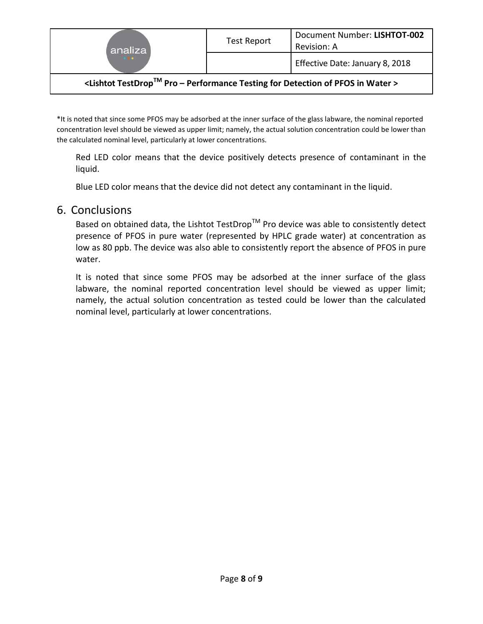| analiza<br>$-0.001$                                                                                                     | <b>Test Report</b> | Document Number: LISHTOT-002<br>Revision: A |  |
|-------------------------------------------------------------------------------------------------------------------------|--------------------|---------------------------------------------|--|
|                                                                                                                         |                    | Effective Date: January 8, 2018             |  |
| <lishtot -="" detection="" for="" in="" of="" performance="" pfos="" pro="" testdrop™="" testing="" water=""></lishtot> |                    |                                             |  |

\*It is noted that since some PFOS may be adsorbed at the inner surface of the glass labware, the nominal reported concentration level should be viewed as upper limit; namely, the actual solution concentration could be lower than the calculated nominal level, particularly at lower concentrations.

Red LED color means that the device positively detects presence of contaminant in the liquid.

Blue LED color means that the device did not detect any contaminant in the liquid.

#### <span id="page-7-0"></span>6. Conclusions

Based on obtained data, the Lishtot TestDrop<sup>TM</sup> Pro device was able to consistently detect presence of PFOS in pure water (represented by HPLC grade water) at concentration as low as 80 ppb. The device was also able to consistently report the absence of PFOS in pure water.

It is noted that since some PFOS may be adsorbed at the inner surface of the glass labware, the nominal reported concentration level should be viewed as upper limit; namely, the actual solution concentration as tested could be lower than the calculated nominal level, particularly at lower concentrations.